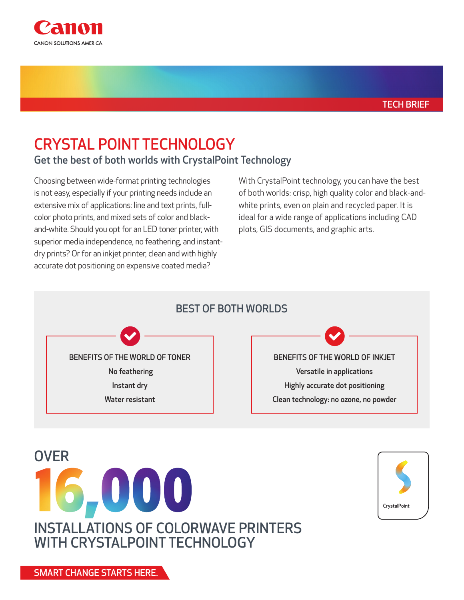

# CRYSTAL POINT TECHNOLOGY

Get the best of both worlds with CrystalPoint Technology

Choosing between wide-format printing technologies is not easy, especially if your printing needs include an extensive mix of applications: line and text prints, fullcolor photo prints, and mixed sets of color and blackand-white. Should you opt for an LED toner printer, with superior media independence, no feathering, and instantdry prints? Or for an inkjet printer, clean and with highly accurate dot positioning on expensive coated media?

With CrystalPoint technology, you can have the best of both worlds: crisp, high quality color and black-andwhite prints, even on plain and recycled paper. It is ideal for a wide range of applications including CAD plots, GIS documents, and graphic arts.



BENEFITS OF THE WORLD OF TONER No feathering Instant dry Water resistant

BENEFITS OF THE WORLD OF INKJET Versatile in applications Highly accurate dot positioning Clean technology: no ozone, no powder